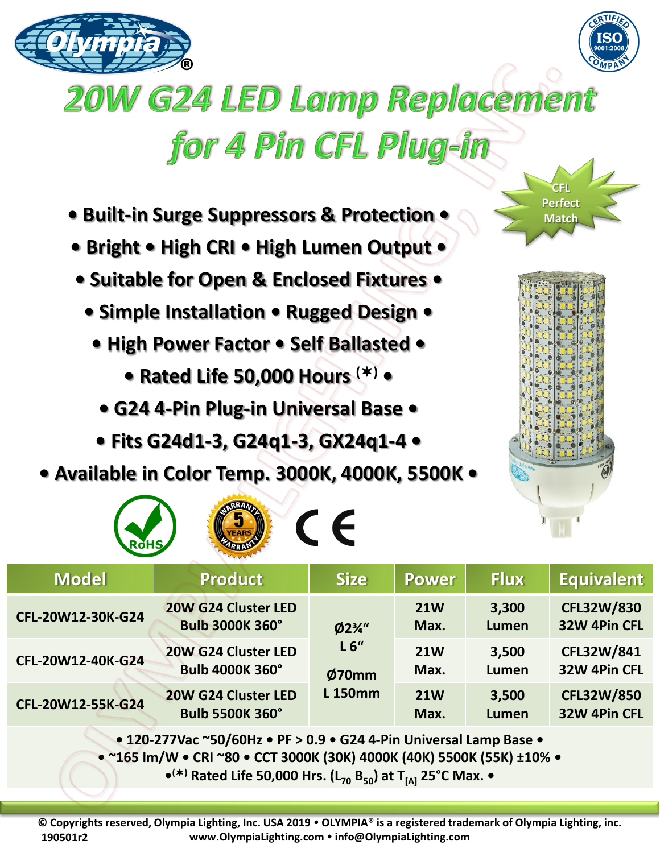



## **20W G24 LED Lamp Replacement** for 4 Pin CFL Plug-in

- **Built-in Surge Suppressors & Protection •**
- **Bright • High CRI • High Lumen Output •**
- **Suitable for Open & Enclosed Fixtures •**
	- **Simple Installation Rugged Design •**
		- **High Power Factor Self Ballasted** 
			- **Rated Life 50,000 Hours () •**
			- **G24 4-Pin Plug-in Universal Base**
		- **Fits G24d1-3, G24q1-3, GX24q1-4 •**
- **Available in Color Temp. 3000K, 4000K, 5500K •**

**OF STRAIGHT CE** 



**CFL Perfect Match** 

| ARRANT<br><b>ROHS</b>                                                                                                                   |                                               |                                                               |                    |                       |                                   |
|-----------------------------------------------------------------------------------------------------------------------------------------|-----------------------------------------------|---------------------------------------------------------------|--------------------|-----------------------|-----------------------------------|
| <b>Model</b>                                                                                                                            | <b>Product</b>                                | <b>Size</b>                                                   | <b>Power</b>       | <b>Flux</b>           | <b>Equivalent</b>                 |
| CFL-20W12-30K-G24                                                                                                                       | 20W G24 Cluster LED<br><b>Bulb 3000K 360°</b> | $Ø2\frac{3}{4}$ "<br>L <sub>6</sub><br>Ø70mm<br><b>L150mm</b> | <b>21W</b><br>Max. | 3,300<br><b>Lumen</b> | <b>CFL32W/830</b><br>32W 4Pin CFL |
| CFL-20W12-40K-G24                                                                                                                       | 20W G24 Cluster LED<br><b>Bulb 4000K 360°</b> |                                                               | <b>21W</b><br>Max. | 3,500<br>Lumen        | CFL32W/841<br>32W 4Pin CFL        |
| CFL-20W12-55K-G24                                                                                                                       | 20W G24 Cluster LED<br><b>Bulb 5500K 360°</b> |                                                               | <b>21W</b><br>Max. | 3,500<br><b>Lumen</b> | <b>CFL32W/850</b><br>32W 4Pin CFL |
| $\bullet$ 120 2771/26 $\sim$ FO/FOH <sub>2</sub> $\bullet$ DE $\sim$ 0.9 $\bullet$ G <sub>24</sub> 4. Din Universal Lamp Base $\bullet$ |                                               |                                                               |                    |                       |                                   |

**• 120-277Vac ~50/60Hz • PF > 0.9 • G24 4-Pin Universal Lamp Base •**

**• ~165 lm/W • CRI ~80 • CCT 3000K (30K) 4000K (40K) 5500K (55K) ±10% •**

**• () Rated Life 50,000 Hrs. (L<sup>70</sup> B50) at T[A] 25°C Max. •**